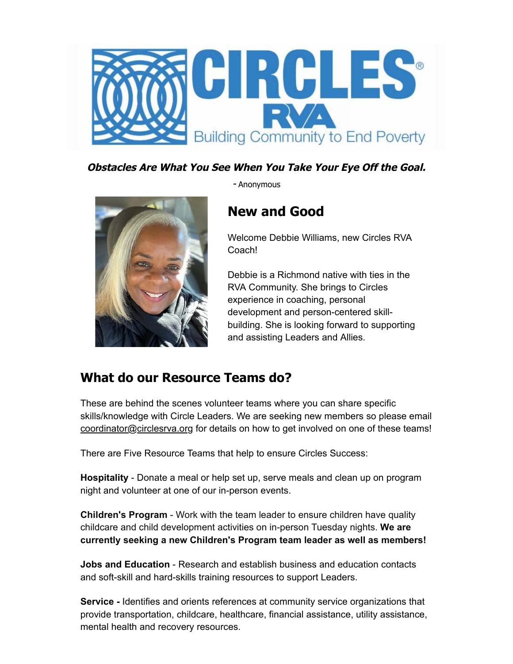

#### **Obstacles Are What You See When You Take Your Eye Off the Goal.**

- Anonymous

## **New and Good**

Welcome Debbie Williams, new Circles RVA Coach!

Debbie is a Richmond native with ties in the RVA Community. She brings to Circles experience in coaching, personal development and person-centered skillbuilding. She is looking forward to supporting and assisting Leaders and Allies.

#### **What do our Resource Teams do?**

These are behind the scenes volunteer teams where you can share specific skills/knowledge with Circle Leaders. We are seeking new members so please email coordinator@circlesrva.org for details on how to get involved on one of these teams!

There are Five Resource Teams that help to ensure Circles Success:

**Hospitality** - Donate a meal or help set up, serve meals and clean up on program night and volunteer at one of our in-person events.

**Children's Program** - Work with the team leader to ensure children have quality childcare and child development activities on in-person Tuesday nights. **We are currently seeking a new Children's Program team leader as well as members!**

**Jobs and Education** - Research and establish business and education contacts and soft-skill and hard-skills training resources to support Leaders.

**Service -** Identifies and orients references at community service organizations that provide transportation, childcare, healthcare, financial assistance, utility assistance, mental health and recovery resources.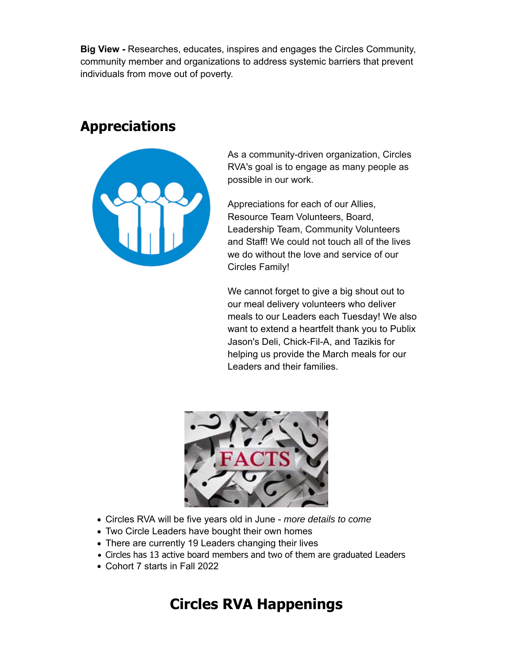**Big View -** Researches, educates, inspires and engages the Circles Community, community member and organizations to address systemic barriers that prevent individuals from move out of poverty.

## **Appreciations**

| $\pm 1$ |  |
|---------|--|
|         |  |

As a community-driven organization, Circles RVA's goal is to engage as many people as possible in our work.

Appreciations for each of our Allies, Resource Team Volunteers, Board, Leadership Team, Community Volunteers and Staff! We could not touch all of the lives we do without the love and service of our Circles Family!

We cannot forget to give a big shout out to our meal delivery volunteers who deliver meals to our Leaders each Tuesday! We also want to extend a heartfelt thank you to Publix Jason's Deli, Chick-Fil-A, and Tazikis for helping us provide the March meals for our Leaders and their families.



- Circles RVA will be five years old in June *more details to come*
- Two Circle Leaders have bought their own homes
- There are currently 19 Leaders changing their lives
- Circles has 13 active board members and two of them are graduated Leaders
- Cohort 7 starts in Fall 2022

# **Circles RVA Happenings**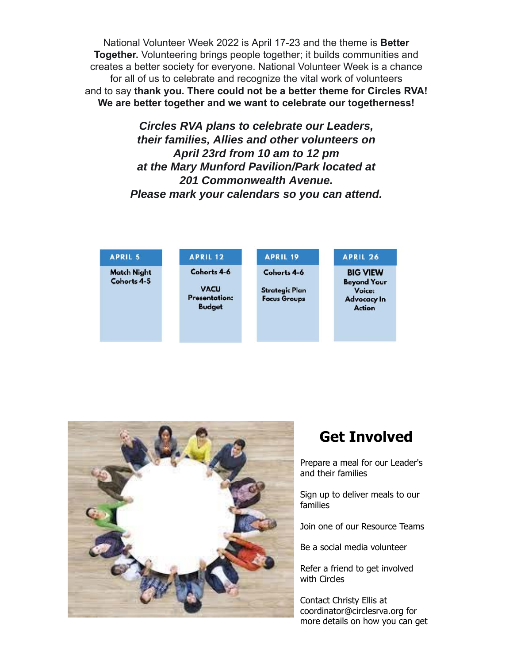National Volunteer Week 2022 is April 17-23 and the theme is **Better Together.** Volunteering brings people together; it builds communities and creates a better society for everyone. National Volunteer Week is a chance for all of us to celebrate and recognize the vital work of volunteers and to say **thank you. There could not be a better theme for Circles RVA! We are better together and we want to celebrate our togetherness!**

> *Circles RVA plans to celebrate our Leaders, their families, Allies and other volunteers on April 23rd from 10 am to 12 pm at the Mary Munford Pavilion/Park located at 201 Commonwealth Avenue. Please mark your calendars so you can attend.*

| <b>APRIL 5</b>                    | <b>APRIL 12</b>                                      | <b>APRIL 19</b>                              | <b>APRIL 26</b>                               |
|-----------------------------------|------------------------------------------------------|----------------------------------------------|-----------------------------------------------|
| <b>Match Night</b><br>Cohorts 4-5 | Cohorts 4-6                                          | Cohorts 4-6                                  | <b>BIG VIEW</b><br><b>Beyond Your</b>         |
|                                   | <b>VACU</b><br><b>Presentation:</b><br><b>Budget</b> | <b>Strategic Plan</b><br><b>Focus Groups</b> | Voice:<br><b>Advocacy In</b><br><b>Action</b> |
|                                   |                                                      |                                              |                                               |



### **Get Involved**

Prepare a meal for our Leader's and their families

Sign up to deliver meals to our families

Join one of our Resource Teams

Be a social media volunteer

Refer a friend to get involved with Circles

Contact Christy Ellis at coordinator@circlesrva.org for more details on how you can get